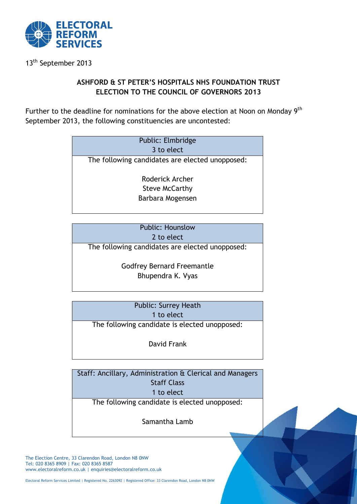

13th September 2013

## **ASHFORD & ST PETER'S HOSPITALS NHS FOUNDATION TRUST ELECTION TO THE COUNCIL OF GOVERNORS 2013**

Further to the deadline for nominations for the above election at Noon on Monday 9<sup>th</sup> September 2013, the following constituencies are uncontested:

| Public: Elmbridge<br>3 to elect                 |
|-------------------------------------------------|
| The following candidates are elected unopposed: |
| Roderick Archer                                 |
| <b>Steve McCarthy</b>                           |
| Barbara Mogensen                                |

| <b>Public: Hounslow</b>                         |  |
|-------------------------------------------------|--|
| 2 to elect                                      |  |
| The following candidates are elected unopposed: |  |
| <b>Godfrey Bernard Freemantle</b>               |  |
| Bhupendra K. Vyas                               |  |

| <b>Public: Surrey Heath</b>                   |  |
|-----------------------------------------------|--|
| 1 to elect                                    |  |
| The following candidate is elected unopposed: |  |

David Frank

Staff: Ancillary, Administration & Clerical and Managers Staff Class 1 to elect

The following candidate is elected unopposed:

Samantha Lamb

The Election Centre, 33 Clarendon Road, London N8 0NW Tel: 020 8365 8909 | Fax: 020 8365 8587 www.electoralreform.co.uk | enquiries@electoralreform.co.uk